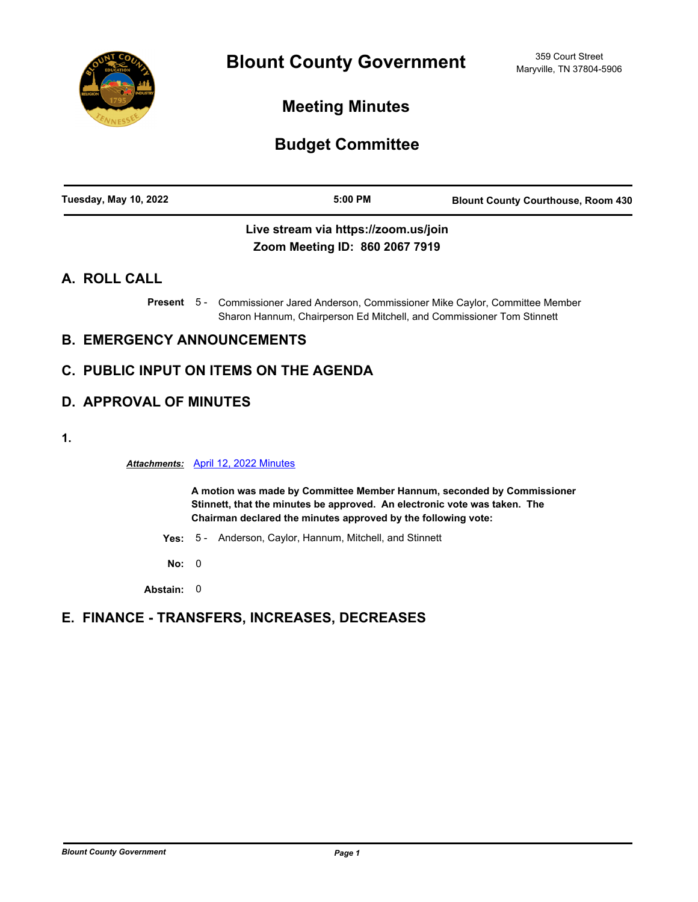

**Meeting Minutes**

# **Budget Committee**

| Tuesday, May 10, 2022 | $5:00$ PM | <b>Blount County Courthouse, Room 430</b> |
|-----------------------|-----------|-------------------------------------------|
|                       |           |                                           |

### **Live stream via https://zoom.us/join Zoom Meeting ID: 860 2067 7919**

### **A. ROLL CALL**

Present 5 - Commissioner Jared Anderson, Commissioner Mike Caylor, Committee Member Sharon Hannum, Chairperson Ed Mitchell, and Commissioner Tom Stinnett

## **B. EMERGENCY ANNOUNCEMENTS**

## **C. PUBLIC INPUT ON ITEMS ON THE AGENDA**

## **D. APPROVAL OF MINUTES**

**1.**

*Attachments:* [April 12, 2022 Minutes](http://blounttn.legistar.com/gateway.aspx?M=F&ID=37ffb71f-3a44-4f46-a8f9-769c926351ae.pdf)

**A motion was made by Committee Member Hannum, seconded by Commissioner Stinnett, that the minutes be approved. An electronic vote was taken. The Chairman declared the minutes approved by the following vote:**

- **Yes:** 5 Anderson, Caylor, Hannum, Mitchell, and Stinnett
- **No:** 0

**Abstain:** 0

### **E. FINANCE - TRANSFERS, INCREASES, DECREASES**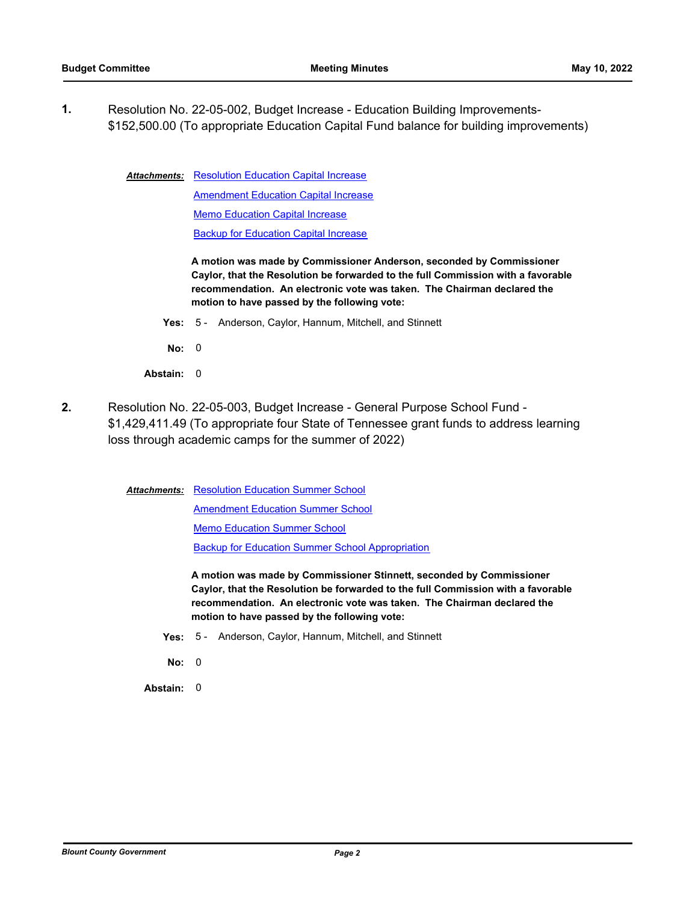**1.** Resolution No. 22-05-002, Budget Increase - Education Building Improvements- [\\$152,500.00 \(To appropriate Education Capital Fund balance for building improvements\)](http://blounttn.legistar.com/gateway.aspx?m=l&id=/matter.aspx?key=3728)

> **Attachments: [Resolution Education Capital Increase](http://blounttn.legistar.com/gateway.aspx?M=F&ID=7414e14a-0ab0-4993-b4dd-c44739c8adbb.docx) [Amendment Education Capital Increase](http://blounttn.legistar.com/gateway.aspx?M=F&ID=8e2ce3dc-6bc0-4f58-ac71-6df6f981f3eb.pdf)** [Memo Education Capital Increase](http://blounttn.legistar.com/gateway.aspx?M=F&ID=fa1481f4-897e-4689-9d49-42e6b7f04bc2.pdf) [Backup for Education Capital Increase](http://blounttn.legistar.com/gateway.aspx?M=F&ID=179846ed-51f5-4c76-b041-9e36a809884d.pdf)

> > **A motion was made by Commissioner Anderson, seconded by Commissioner Caylor, that the Resolution be forwarded to the full Commission with a favorable recommendation. An electronic vote was taken. The Chairman declared the motion to have passed by the following vote:**

- **Yes:** 5 Anderson, Caylor, Hannum, Mitchell, and Stinnett
- **No:** 0
- **Abstain:** 0
- **2.** Resolution No. 22-05-003, Budget Increase General Purpose School Fund [\\$1,429,411.49 \(To appropriate four State of Tennessee grant funds to address learning](http://blounttn.legistar.com/gateway.aspx?m=l&id=/matter.aspx?key=3736)  loss through academic camps for the summer of 2022)

**Attachments: [Resolution Education Summer School](http://blounttn.legistar.com/gateway.aspx?M=F&ID=77d666e8-02bd-48fd-807a-29293ee99beb.docx)** 

[Amendment Education Summer School](http://blounttn.legistar.com/gateway.aspx?M=F&ID=127c5516-69e0-42bb-9256-b6b724ca361f.pdf)

[Memo Education Summer School](http://blounttn.legistar.com/gateway.aspx?M=F&ID=cd5a31b7-cad4-4dfb-9cec-8882dad7c4cb.pdf)

[Backup for Education Summer School Appropriation](http://blounttn.legistar.com/gateway.aspx?M=F&ID=727f0fd0-635a-46b7-940f-8dcf8d433413.pdf)

**A motion was made by Commissioner Stinnett, seconded by Commissioner Caylor, that the Resolution be forwarded to the full Commission with a favorable recommendation. An electronic vote was taken. The Chairman declared the motion to have passed by the following vote:**

- **Yes:** 5 Anderson, Caylor, Hannum, Mitchell, and Stinnett
- **No:** 0

**Abstain:** 0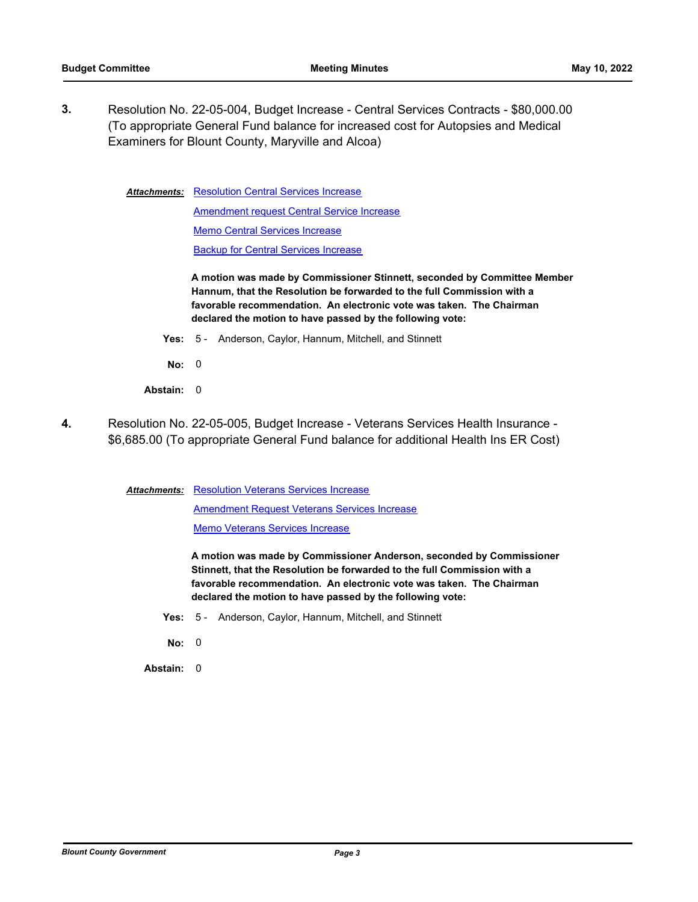**3.** [Resolution No. 22-05-004, Budget Increase - Central Services Contracts - \\$80,000.00](http://blounttn.legistar.com/gateway.aspx?m=l&id=/matter.aspx?key=3729)  (To appropriate General Fund balance for increased cost for Autopsies and Medical Examiners for Blount County, Maryville and Alcoa)

> [Resolution Central Services Increase](http://blounttn.legistar.com/gateway.aspx?M=F&ID=d0f12da1-deda-49a7-a7aa-267871b29525.docx) [Amendment request Central Service Increase](http://blounttn.legistar.com/gateway.aspx?M=F&ID=1df53692-4448-4aed-933e-a02af25e0a52.pdf) [Memo Central Services Increase](http://blounttn.legistar.com/gateway.aspx?M=F&ID=366f55b1-e1b9-4e08-9340-736eff595408.pdf) [Backup for Central Services Increase](http://blounttn.legistar.com/gateway.aspx?M=F&ID=b2b9127a-7668-4b60-8321-06bf9f575f15.pdf) *Attachments:*

> > **A motion was made by Commissioner Stinnett, seconded by Committee Member Hannum, that the Resolution be forwarded to the full Commission with a favorable recommendation. An electronic vote was taken. The Chairman declared the motion to have passed by the following vote:**

- **Yes:** 5 Anderson, Caylor, Hannum, Mitchell, and Stinnett
- **No:** 0
- **Abstain:** 0
- **4.** [Resolution No. 22-05-005, Budget Increase Veterans Services Health Insurance](http://blounttn.legistar.com/gateway.aspx?m=l&id=/matter.aspx?key=3735)  \$6,685.00 (To appropriate General Fund balance for additional Health Ins ER Cost)

**Attachments: [Resolution Veterans Services Increase](http://blounttn.legistar.com/gateway.aspx?M=F&ID=e838ba05-be68-4bbb-be3a-08a9ef8f2079.docx)** 

[Amendment Request Veterans Services Increase](http://blounttn.legistar.com/gateway.aspx?M=F&ID=1466c8be-6d75-424b-a761-fd740fb383ee.pdf)

[Memo Veterans Services Increase](http://blounttn.legistar.com/gateway.aspx?M=F&ID=3a6018e5-21a3-4c61-bd0c-c3f91a4580d0.pdf)

**A motion was made by Commissioner Anderson, seconded by Commissioner Stinnett, that the Resolution be forwarded to the full Commission with a favorable recommendation. An electronic vote was taken. The Chairman declared the motion to have passed by the following vote:**

- **Yes:** 5 Anderson, Caylor, Hannum, Mitchell, and Stinnett
- **No:** 0

**Abstain:** 0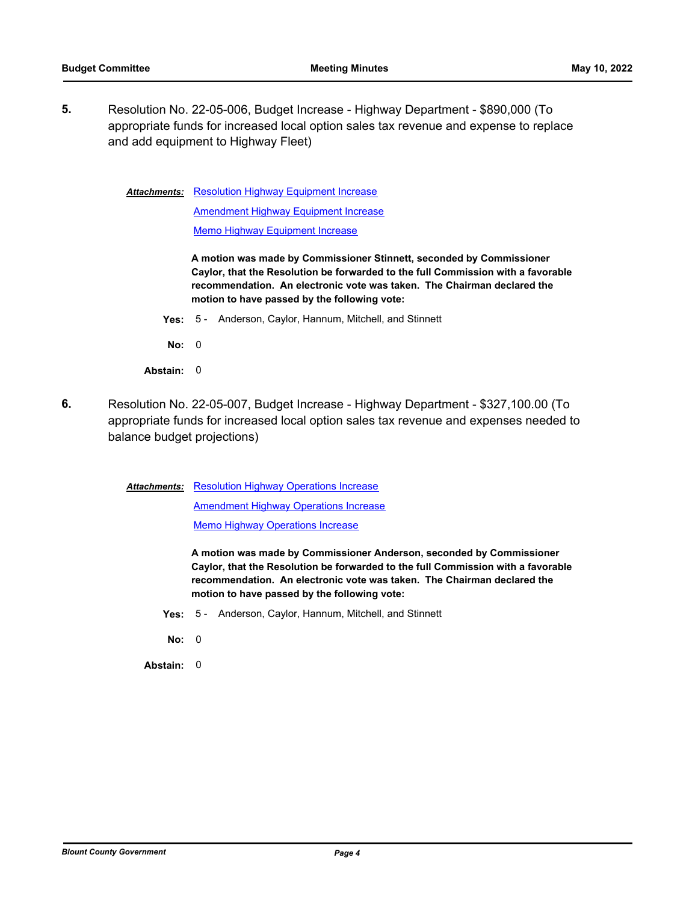**5.** Resolution No. 22-05-006, Budget Increase - Highway Department - \$890,000 (To [appropriate funds for increased local option sales tax revenue and expense to replace](http://blounttn.legistar.com/gateway.aspx?m=l&id=/matter.aspx?key=3754)  and add equipment to Highway Fleet)

Attachments: [Resolution Highway Equipment Increase](http://blounttn.legistar.com/gateway.aspx?M=F&ID=df7c90c6-acff-4250-9ba2-04f8e0cceebe.docx)

[Amendment Highway Equipment Increase](http://blounttn.legistar.com/gateway.aspx?M=F&ID=ed883a2e-a432-4ffa-9962-a79d11ab11d9.pdf) [Memo Highway Equipment Increase](http://blounttn.legistar.com/gateway.aspx?M=F&ID=74bdebfb-f17a-4670-a1bb-c3720880b8e0.pdf)

**A motion was made by Commissioner Stinnett, seconded by Commissioner Caylor, that the Resolution be forwarded to the full Commission with a favorable recommendation. An electronic vote was taken. The Chairman declared the motion to have passed by the following vote:**

- **Yes:** 5 Anderson, Caylor, Hannum, Mitchell, and Stinnett
- **No:** 0
- **Abstain:** 0
- **6.** Resolution No. 22-05-007, Budget Increase Highway Department \$327,100.00 (To [appropriate funds for increased local option sales tax revenue and expenses needed to](http://blounttn.legistar.com/gateway.aspx?m=l&id=/matter.aspx?key=3755)  balance budget projections)

**Attachments: [Resolution Highway Operations Increase](http://blounttn.legistar.com/gateway.aspx?M=F&ID=111f6be3-f48f-4587-8810-5c8e23106caf.docx)** 

**[Amendment Highway Operations Increase](http://blounttn.legistar.com/gateway.aspx?M=F&ID=9d553c2e-d135-43c4-a104-06a7ae38d197.pdf) [Memo Highway Operations Increase](http://blounttn.legistar.com/gateway.aspx?M=F&ID=f51e82c8-004e-4440-b757-f59c47928dd4.pdf)** 

**A motion was made by Commissioner Anderson, seconded by Commissioner Caylor, that the Resolution be forwarded to the full Commission with a favorable recommendation. An electronic vote was taken. The Chairman declared the motion to have passed by the following vote:**

- **Yes:** 5 Anderson, Caylor, Hannum, Mitchell, and Stinnett
- **No:** 0

**Abstain:** 0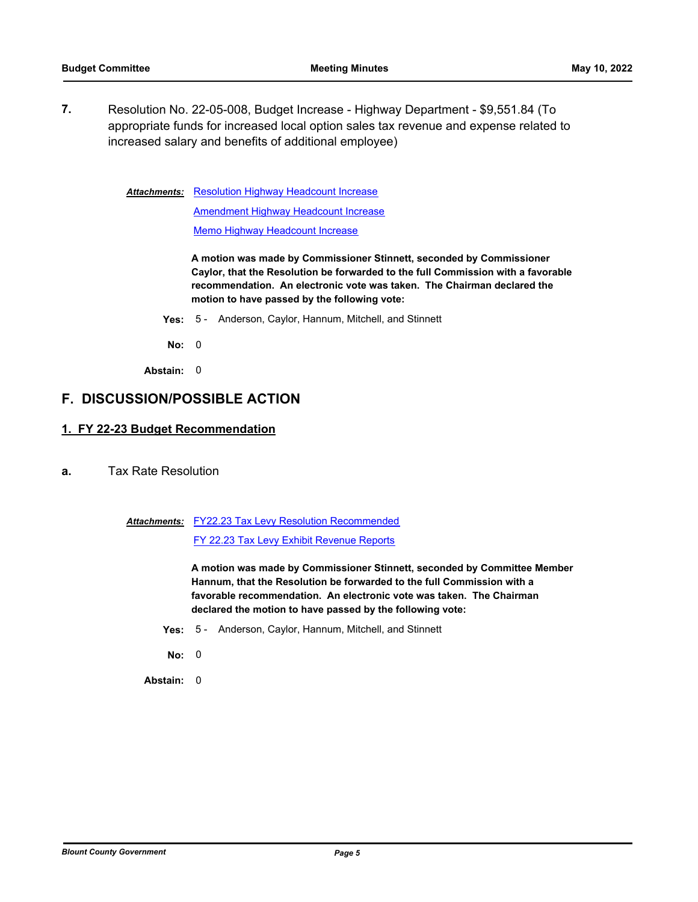**7.** Resolution No. 22-05-008, Budget Increase - Highway Department - \$9,551.84 (To [appropriate funds for increased local option sales tax revenue and expense related to](http://blounttn.legistar.com/gateway.aspx?m=l&id=/matter.aspx?key=3756)  increased salary and benefits of additional employee)

**Attachments: [Resolution Highway Headcount Increase](http://blounttn.legistar.com/gateway.aspx?M=F&ID=f87185a4-e530-4b4a-8a92-7c654547c2bd.docx)** 

[Amendment Highway Headcount Increase](http://blounttn.legistar.com/gateway.aspx?M=F&ID=6fe637d5-66cb-4484-80a1-b7d1dde122cc.pdf) [Memo Highway Headcount Increase](http://blounttn.legistar.com/gateway.aspx?M=F&ID=c0ee6815-e9b0-490e-af83-82e5158b64ce.pdf)

**A motion was made by Commissioner Stinnett, seconded by Commissioner Caylor, that the Resolution be forwarded to the full Commission with a favorable recommendation. An electronic vote was taken. The Chairman declared the motion to have passed by the following vote:**

- **Yes:** 5 Anderson, Caylor, Hannum, Mitchell, and Stinnett
- **No:** 0
- **Abstain:** 0

#### **F. DISCUSSION/POSSIBLE ACTION**

#### **1. FY 22-23 Budget Recommendation**

- **a.** [Tax Rate Resolution](http://blounttn.legistar.com/gateway.aspx?m=l&id=/matter.aspx?key=3737)
	- Attachments: [FY22.23 Tax Levy Resolution Recommended](http://blounttn.legistar.com/gateway.aspx?M=F&ID=ed29de6a-a3b8-4ba5-96ab-3e2ce454348f.pdf)

[FY 22.23 Tax Levy Exhibit Revenue Reports](http://blounttn.legistar.com/gateway.aspx?M=F&ID=961559d5-0695-4419-82ed-da50d34aa58d.pdf)

**A motion was made by Commissioner Stinnett, seconded by Committee Member Hannum, that the Resolution be forwarded to the full Commission with a favorable recommendation. An electronic vote was taken. The Chairman declared the motion to have passed by the following vote:**

- **Yes:** 5 Anderson, Caylor, Hannum, Mitchell, and Stinnett
- **No:** 0
- **Abstain:** 0